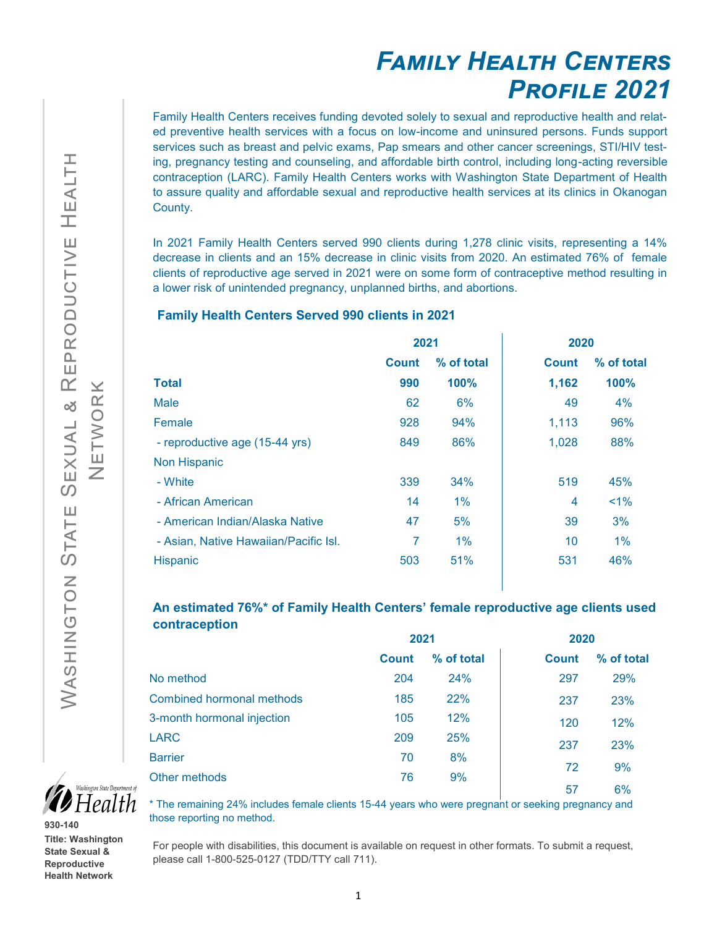# *Family Health Centers Profile 2021*

Family Health Centers receives funding devoted solely to sexual and reproductive health and related preventive health services with a focus on low-income and uninsured persons. Funds support services such as breast and pelvic exams, Pap smears and other cancer screenings, STI/HIV testing, pregnancy testing and counseling, and affordable birth control, including long-acting reversible contraception (LARC). Family Health Centers works with Washington State Department of Health to assure quality and affordable sexual and reproductive health services at its clinics in Okanogan County.

In 2021 Family Health Centers served 990 clients during 1,278 clinic visits, representing a 14% decrease in clients and an 15% decrease in clinic visits from 2020. An estimated 76% of female clients of reproductive age served in 2021 were on some form of contraceptive method resulting in a lower risk of unintended pregnancy, unplanned births, and abortions.

#### **Family Health Centers Served 990 clients in 2021**

|                                       | 2021         |            | 2020         |            |
|---------------------------------------|--------------|------------|--------------|------------|
|                                       | <b>Count</b> | % of total | <b>Count</b> | % of total |
| <b>Total</b>                          | 990          | 100%       | 1,162        | 100%       |
| <b>Male</b>                           | 62           | 6%         | 49           | 4%         |
| Female                                | 928          | 94%        | 1,113        | 96%        |
| - reproductive age (15-44 yrs)        | 849          | 86%        | 1,028        | 88%        |
| <b>Non Hispanic</b>                   |              |            |              |            |
| - White                               | 339          | 34%        | 519          | 45%        |
| - African American                    | 14           | $1\%$      | 4            | $1\%$      |
| - American Indian/Alaska Native       | 47           | 5%         | 39           | 3%         |
| - Asian, Native Hawaiian/Pacific Isl. | 7            | 1%         | 10           | $1\%$      |
| Hispanic                              | 503          | 51%        | 531          | 46%        |
|                                       |              |            |              |            |

### **An estimated 76%\* of Family Health Centers' female reproductive age clients used contraception**

|                                  | 2021         |            | 2020         |            |
|----------------------------------|--------------|------------|--------------|------------|
|                                  | <b>Count</b> | % of total | <b>Count</b> | % of total |
| No method                        | 204          | 24%        | 297          | 29%        |
| <b>Combined hormonal methods</b> | 185          | 22%        | 237          | 23%        |
| 3-month hormonal injection       | 105          | 12%        | 120          | 12%        |
| <b>LARC</b>                      | 209          | 25%        | 237          | 23%        |
| <b>Barrier</b>                   | 70           | 8%         | 72           | 9%         |
| Other methods                    | 76           | 9%         |              |            |
|                                  |              |            | 57           | 6%         |



**930-140 Title: Washington State Sexual & Reproductive Health Network** 

\* The remaining 24% includes female clients 15-44 years who were pregnant or seeking pregnancy and those reporting no method.

For people with disabilities, this document is available on request in other formats. To submit a request, please call 1-800-525-0127 (TDD/TTY call 711).